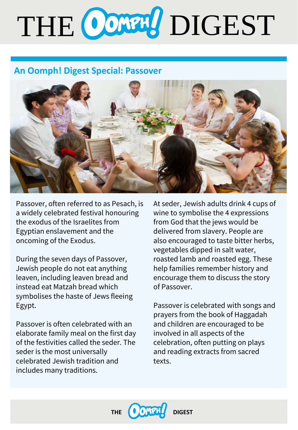# THE CONTH DIGEST

## **An Oomph! Digest Special: Passover**



Passover, often referred to as Pesach, is a widely celebrated festival honouring the exodus of the Israelites from Egyptian enslavement and the oncoming of the Exodus.

During the seven days of Passover, Jewish people do not eat anything leaven, including leaven bread and instead eat Matzah bread which symbolises the haste of Jews fleeing Egypt.

Passover is often celebrated with an elaborate family meal on the first day of the festivities called the seder. The seder is the most universally celebrated Jewish tradition and includes many traditions.

At seder, Jewish adults drink 4 cups of wine to symbolise the 4 expressions from God that the jews would be delivered from slavery. People are also encouraged to taste bitter herbs, vegetables dipped in salt water, roasted lamb and roasted egg. These help families remember history and encourage them to discuss the story of Passover.

Passover is celebrated with songs and prayers from the book of Haggadah and children are encouraged to be involved in all aspects of the celebration, often putting on plays and reading extracts from sacred texts.

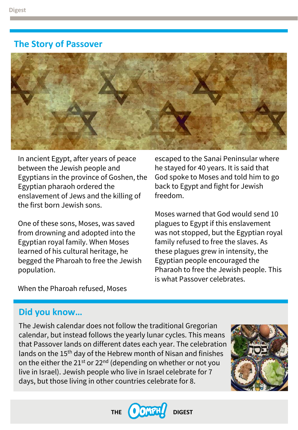#### **The Story of Passover**



In ancient Egypt, after years of peace between the Jewish people and Egyptians in the province of Goshen, the Egyptian pharaoh ordered the enslavement of Jews and the killing of the first born Jewish sons.

One of these sons, Moses, was saved from drowning and adopted into the Egyptian royal family. When Moses learned of his cultural heritage, he begged the Pharoah to free the Jewish population.

escaped to the Sanai Peninsular where he stayed for 40 years. It is said that God spoke to Moses and told him to go back to Egypt and fight for Jewish freedom.

Moses warned that God would send 10 plagues to Egypt if this enslavement was not stopped, but the Egyptian royal family refused to free the slaves. As these plagues grew in intensity, the Egyptian people encouraged the Pharaoh to free the Jewish people. This is what Passover celebrates.

When the Pharoah refused, Moses

## **Did you know…**

The Jewish calendar does not follow the traditional Gregorian calendar, but instead follows the yearly lunar cycles. This means that Passover lands on different dates each year. The celebration lands on the 15<sup>th</sup> day of the Hebrew month of Nisan and finishes on the either the  $21^{st}$  or  $22^{nd}$  (depending on whether or not you live in Israel). Jewish people who live in Israel celebrate for 7 days, but those living in other countries celebrate for 8.



**THE DIGEST**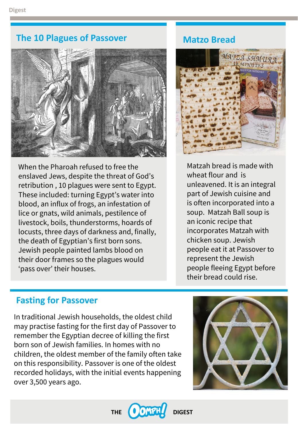#### **The 10 Plagues of Passover**



When the Pharoah refused to free the enslaved Jews, despite the threat of God's retribution , 10 plagues were sent to Egypt. These included: turning Egypt's water into blood, an influx of frogs, an infestation of lice or gnats, wild animals, pestilence of livestock, boils, thunderstorms, hoards of locusts, three days of darkness and, finally, the death of Egyptian's first born sons. Jewish people painted lambs blood on their door frames so the plagues would 'pass over' their houses.

#### **Matzo Bread**



Matzah bread is made with wheat flour and is unleavened. It is an integral part of Jewish cuisine and is often incorporated into a soup. Matzah Ball soup is an iconic recipe that incorporates Matzah with chicken soup. Jewish people eat it at Passover to represent the Jewish people fleeing Egypt before their bread could rise.

#### **Fasting for Passover**

In traditional Jewish households, the oldest child may practise fasting for the first day of Passover to remember the Egyptian decree of killing the first born son of Jewish families. In homes with no children, the oldest member of the family often take on this responsibility. Passover is one of the oldest recorded holidays, with the initial events happening over 3,500 years ago.



THE **OONTH** DIGEST